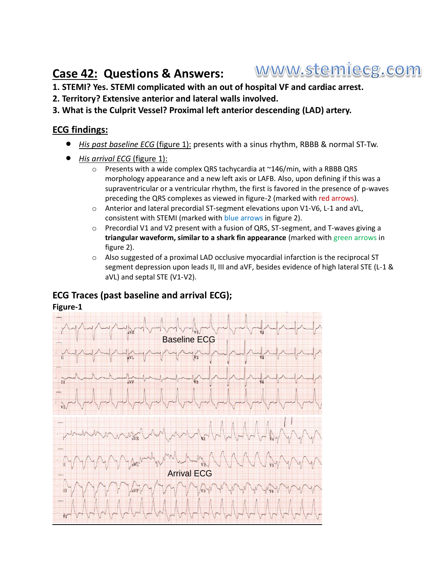### www.stemiecg.com **Case 42: Questions & Answers:**

- **1. STEMI? Yes. STEMI complicated with an out of hospital VF and cardiac arrest.**
- **2. Territory? Extensive anterior and lateral walls involved.**
- **3. What is the Culprit Vessel? Proximal left anterior descending (LAD) artery.**

## **ECG findings:**

- *His past baseline ECG* (figure 1): presents with a sinus rhythm, RBBB & normal ST-Tw.
- *His arrival ECG* (figure 1):
	- o Presents with a wide complex QRS tachycardia at ~146/min, with a RBBB QRS morphology appearance and a new left axis or LAFB. Also, upon defining if this was a supraventricular or a ventricular rhythm, the first is favored in the presence of p-waves preceding the QRS complexes as viewed in figure-2 (marked with red arrows).
	- $\circ$  Anterior and lateral precordial ST-segment elevations upon V1-V6, L-1 and aVL, consistent with STEMI (marked with blue arrows in figure 2).
	- $\circ$  Precordial V1 and V2 present with a fusion of QRS, ST-segment, and T-waves giving a **triangular waveform, similar to a shark fin appearance** (marked with green arrows in figure 2).
	- o Also suggested of a proximal LAD occlusive myocardial infarction is the reciprocal ST segment depression upon leads II, III and aVF, besides evidence of high lateral STE (L-1 & aVL) and septal STE (V1-V2).

## **ECG Traces (past baseline and arrival ECG);**

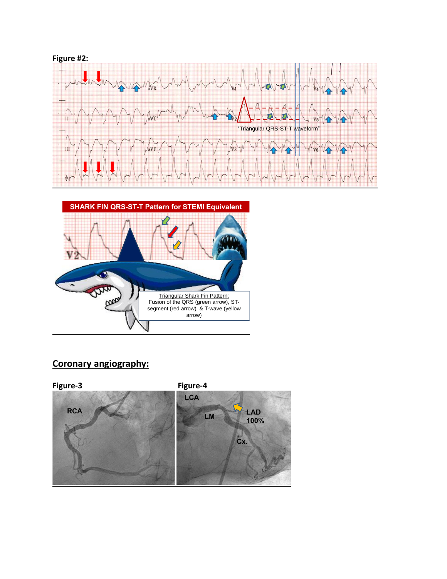



# **Coronary angiography:**

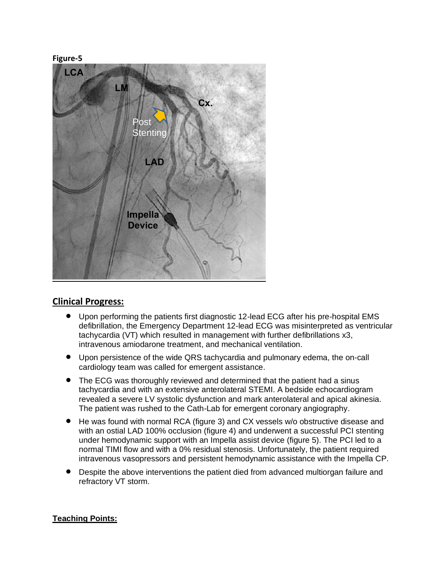#### **Figure-5**



## **Clinical Progress:**

- Upon performing the patients first diagnostic 12-lead ECG after his pre-hospital EMS defibrillation, the Emergency Department 12-lead ECG was misinterpreted as ventricular tachycardia (VT) which resulted in management with further defibrillations x3, intravenous amiodarone treatment, and mechanical ventilation.
- Upon persistence of the wide QRS tachycardia and pulmonary edema, the on-call cardiology team was called for emergent assistance.
- The ECG was thoroughly reviewed and determined that the patient had a sinus tachycardia and with an extensive anterolateral STEMI. A bedside echocardiogram revealed a severe LV systolic dysfunction and mark anterolateral and apical akinesia. The patient was rushed to the Cath-Lab for emergent coronary angiography.
- He was found with normal RCA (figure 3) and CX vessels w/o obstructive disease and with an ostial LAD 100% occlusion (figure 4) and underwent a successful PCI stenting under hemodynamic support with an Impella assist device (figure 5). The PCI led to a normal TIMI flow and with a 0% residual stenosis. Unfortunately, the patient required intravenous vasopressors and persistent hemodynamic assistance with the Impella CP.
- Despite the above interventions the patient died from advanced multiorgan failure and refractory VT storm.

### **Teaching Points:**